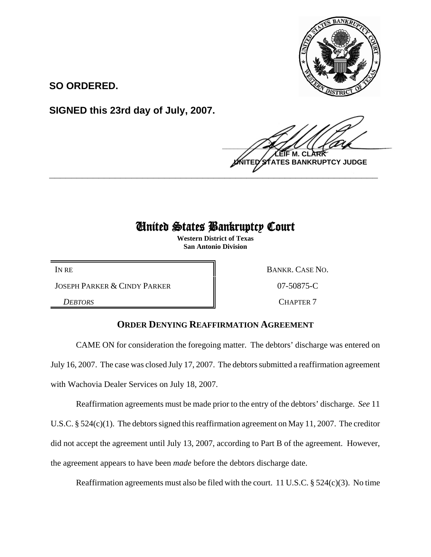

**SO ORDERED.**

**SIGNED this 23rd day of July, 2007.**

 $\frac{1}{2}$ **M. C NTES BANKRUPTCY JUDGE \_\_\_\_\_\_\_\_\_\_\_\_\_\_\_\_\_\_\_\_\_\_\_\_\_\_\_\_\_\_\_\_\_\_\_\_\_\_\_\_\_\_\_\_\_\_\_\_\_\_\_\_\_\_\_\_\_\_\_\_**

## United States Bankruptcy Court

**Western District of Texas San Antonio Division**

JOSEPH PARKER & CINDY PARKER 07-50875-C

IN RE BANKR. CASE NO.

**DEBTORS** CHAPTER 7

## **ORDER DENYING REAFFIRMATION AGREEMENT**

CAME ON for consideration the foregoing matter. The debtors' discharge was entered on July 16, 2007. The case was closed July 17, 2007. The debtors submitted a reaffirmation agreement with Wachovia Dealer Services on July 18, 2007.

Reaffirmation agreements must be made prior to the entry of the debtors' discharge. *See* 11 U.S.C. § 524(c)(1). The debtors signed this reaffirmation agreement on May 11, 2007. The creditor did not accept the agreement until July 13, 2007, according to Part B of the agreement. However, the agreement appears to have been *made* before the debtors discharge date.

Reaffirmation agreements must also be filed with the court. 11 U.S.C. § 524(c)(3). No time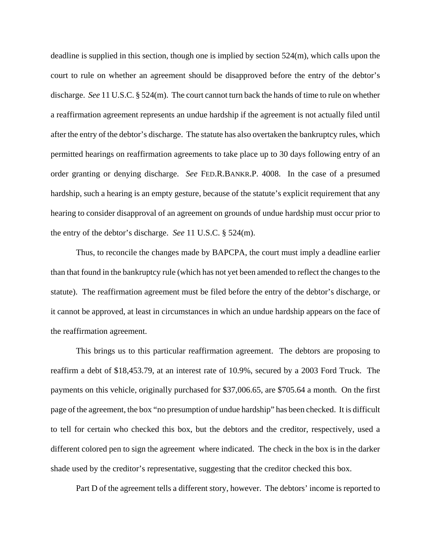deadline is supplied in this section, though one is implied by section 524(m), which calls upon the court to rule on whether an agreement should be disapproved before the entry of the debtor's discharge. *See* 11 U.S.C. § 524(m). The court cannot turn back the hands of time to rule on whether a reaffirmation agreement represents an undue hardship if the agreement is not actually filed until after the entry of the debtor's discharge. The statute has also overtaken the bankruptcy rules, which permitted hearings on reaffirmation agreements to take place up to 30 days following entry of an order granting or denying discharge. *See* FED.R.BANKR.P. 4008. In the case of a presumed hardship, such a hearing is an empty gesture, because of the statute's explicit requirement that any hearing to consider disapproval of an agreement on grounds of undue hardship must occur prior to the entry of the debtor's discharge. *See* 11 U.S.C. § 524(m).

Thus, to reconcile the changes made by BAPCPA, the court must imply a deadline earlier than that found in the bankruptcy rule (which has not yet been amended to reflect the changes to the statute). The reaffirmation agreement must be filed before the entry of the debtor's discharge, or it cannot be approved, at least in circumstances in which an undue hardship appears on the face of the reaffirmation agreement.

This brings us to this particular reaffirmation agreement. The debtors are proposing to reaffirm a debt of \$18,453.79, at an interest rate of 10.9%, secured by a 2003 Ford Truck. The payments on this vehicle, originally purchased for \$37,006.65, are \$705.64 a month. On the first page of the agreement, the box "no presumption of undue hardship" has been checked. It is difficult to tell for certain who checked this box, but the debtors and the creditor, respectively, used a different colored pen to sign the agreement where indicated. The check in the box is in the darker shade used by the creditor's representative, suggesting that the creditor checked this box.

Part D of the agreement tells a different story, however. The debtors' income is reported to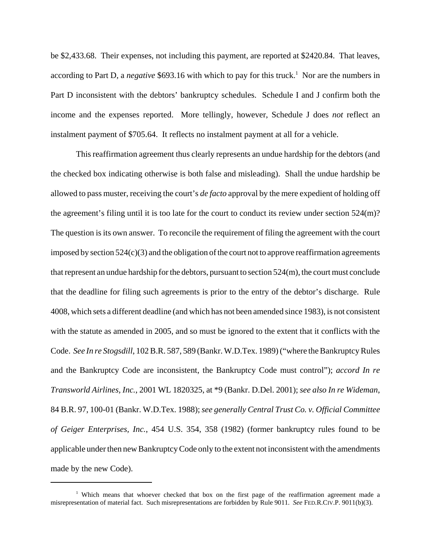be \$2,433.68. Their expenses, not including this payment, are reported at \$2420.84. That leaves, according to Part D, a *negative* \$693.16 with which to pay for this truck.<sup>1</sup> Nor are the numbers in Part D inconsistent with the debtors' bankruptcy schedules. Schedule I and J confirm both the income and the expenses reported. More tellingly, however, Schedule J does *not* reflect an instalment payment of \$705.64. It reflects no instalment payment at all for a vehicle.

This reaffirmation agreement thus clearly represents an undue hardship for the debtors (and the checked box indicating otherwise is both false and misleading). Shall the undue hardship be allowed to pass muster, receiving the court's *de facto* approval by the mere expedient of holding off the agreement's filing until it is too late for the court to conduct its review under section 524(m)? The question is its own answer. To reconcile the requirement of filing the agreement with the court imposed by section 524(c)(3) and the obligation of the court not to approve reaffirmation agreements that represent an undue hardship for the debtors, pursuant to section 524(m), the court must conclude that the deadline for filing such agreements is prior to the entry of the debtor's discharge. Rule 4008, which sets a different deadline (and which has not been amended since 1983), is not consistent with the statute as amended in 2005, and so must be ignored to the extent that it conflicts with the Code. *See In re Stogsdill*, 102 B.R. 587, 589 (Bankr. W.D.Tex. 1989) ("where the Bankruptcy Rules and the Bankruptcy Code are inconsistent, the Bankruptcy Code must control"); *accord In re Transworld Airlines, Inc.*, 2001 WL 1820325, at \*9 (Bankr. D.Del. 2001); *see also In re Wideman*, 84 B.R. 97, 100-01 (Bankr. W.D.Tex. 1988); *see generally Central Trust Co. v. Official Committee of Geiger Enterprises, Inc.*, 454 U.S. 354, 358 (1982) (former bankruptcy rules found to be applicable under then new Bankruptcy Code only to the extent not inconsistent with the amendments made by the new Code).

<sup>1</sup> Which means that whoever checked that box on the first page of the reaffirmation agreement made a misrepresentation of material fact. Such misrepresentations are forbidden by Rule 9011. *See* FED.R.CIV.P. 9011(b)(3).